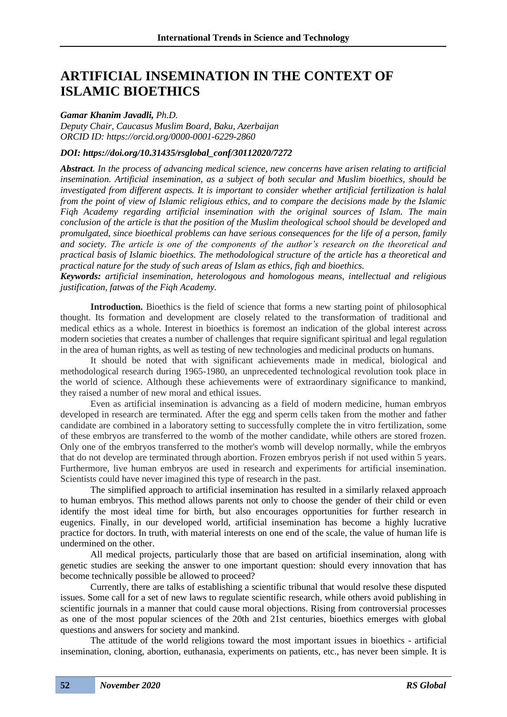# **ARTIFICIAL INSEMINATION IN THE CONTEXT OF ISLAMIC BIOETHICS**

## *Gamar Khanim Javadli, Ph.D.*

*Deputy Chair, Caucasus Muslim Board, Baku, Azerbaijan ORCID ID: https://orcid.org/0000-0001-6229-2860*

# *DOI: https://doi.org/10.31435/rsglobal\_conf/30112020/7272*

*Abstract. In the process of advancing medical science, new concerns have arisen relating to artificial insemination. Artificial insemination, as a subject of both secular and Muslim bioethics, should be investigated from different aspects. It is important to consider whether artificial fertilization is halal from the point of view of Islamic religious ethics, and to compare the decisions made by the Islamic Fiqh Academy regarding artificial insemination with the original sources of Islam. The main conclusion of the article is that the position of the Muslim theological school should be developed and promulgated, since bioethical problems can have serious consequences for the life of a person, family and society. The article is one of the components of the author's research on the theoretical and practical basis of Islamic bioethics. The methodological structure of the article has a theoretical and practical nature for the study of such areas of Islam as ethics, fiqh and bioethics.*

*Keywords: artificial insemination, heterologous and homologous means, intellectual and religious justification, fatwas of the Fiqh Academy.*

**Introduction.** Bioethics is the field of science that forms a new starting point of philosophical thought. Its formation and development are closely related to the transformation of traditional and medical ethics as a whole. Interest in bioethics is foremost an indication of the global interest across modern societies that creates a number of challenges that require significant spiritual and legal regulation in the area of human rights, as well as testing of new technologies and medicinal products on humans.

It should be noted that with significant achievements made in medical, biological and methodological research during 1965-1980, an unprecedented technological revolution took place in the world of science. Although these achievements were of extraordinary significance to mankind, they raised a number of new moral and ethical issues.

Even as artificial insemination is advancing as a field of modern medicine, human embryos developed in research are terminated. After the egg and sperm cells taken from the mother and father candidate are combined in a laboratory setting to successfully complete the in vitro fertilization, some of these embryos are transferred to the womb of the mother candidate, while others are stored frozen. Only one of the embryos transferred to the mother's womb will develop normally, while the embryos that do not develop are terminated through abortion. Frozen embryos perish if not used within 5 years. Furthermore, live human embryos are used in research and experiments for artificial insemination. Scientists could have never imagined this type of research in the past.

The simplified approach to artificial insemination has resulted in a similarly relaxed approach to human embryos. This method allows parents not only to choose the gender of their child or even identify the most ideal time for birth, but also encourages opportunities for further research in eugenics. Finally, in our developed world, artificial insemination has become a highly lucrative practice for doctors. In truth, with material interests on one end of the scale, the value of human life is undermined on the other.

All medical projects, particularly those that are based on artificial insemination, along with genetic studies are seeking the answer to one important question: should every innovation that has become technically possible be allowed to proceed?

Currently, there are talks of establishing a scientific tribunal that would resolve these disputed issues. Some call for a set of new laws to regulate scientific research, while others avoid publishing in scientific journals in a manner that could cause moral objections. Rising from controversial processes as one of the most popular sciences of the 20th and 21st centuries, bioethics emerges with global questions and answers for society and mankind.

The attitude of the world religions toward the most important issues in bioethics - artificial insemination, cloning, abortion, euthanasia, experiments on patients, etc., has never been simple. It is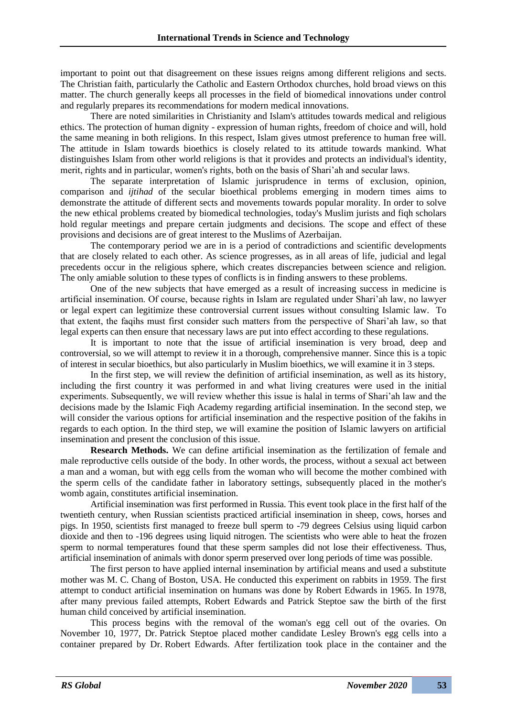important to point out that disagreement on these issues reigns among different religions and sects. The Christian faith, particularly the Catholic and Eastern Orthodox churches, hold broad views on this matter. The church generally keeps all processes in the field of biomedical innovations under control and regularly prepares its recommendations for modern medical innovations.

There are noted similarities in Christianity and Islam's attitudes towards medical and religious ethics. The protection of human dignity - expression of human rights, freedom of choice and will, hold the same meaning in both religions. In this respect, Islam gives utmost preference to human free will. The attitude in Islam towards bioethics is closely related to its attitude towards mankind. What distinguishes Islam from other world religions is that it provides and protects an individual's identity, merit, rights and in particular, women's rights, both on the basis of Shari'ah and secular laws.

The separate interpretation of Islamic jurisprudence in terms of exclusion, opinion, comparison and *ijtihad* of the secular bioethical problems emerging in modern times aims to demonstrate the attitude of different sects and movements towards popular morality. In order to solve the new ethical problems created by biomedical technologies, today's Muslim jurists and fiqh scholars hold regular meetings and prepare certain judgments and decisions. The scope and effect of these provisions and decisions are of great interest to the Muslims of Azerbaijan.

The contemporary period we are in is a period of contradictions and scientific developments that are closely related to each other. As science progresses, as in all areas of life, judicial and legal precedents occur in the religious sphere, which creates discrepancies between science and religion. The only amiable solution to these types of conflicts is in finding answers to these problems.

One of the new subjects that have emerged as a result of increasing success in medicine is artificial insemination. Of course, because rights in Islam are regulated under Shari'ah law, no lawyer or legal expert can legitimize these controversial current issues without consulting Islamic law. To that extent, the faqihs must first consider such matters from the perspective of Shari'ah law, so that legal experts can then ensure that necessary laws are put into effect according to these regulations.

It is important to note that the issue of artificial insemination is very broad, deep and controversial, so we will attempt to review it in a thorough, comprehensive manner. Since this is a topic of interest in secular bioethics, but also particularly in Muslim bioethics, we will examine it in 3 steps.

In the first step, we will review the definition of artificial insemination, as well as its history, including the first country it was performed in and what living creatures were used in the initial experiments. Subsequently, we will review whether this issue is halal in terms of Shari'ah law and the decisions made by the Islamic Fiqh Academy regarding artificial insemination. In the second step, we will consider the various options for artificial insemination and the respective position of the fakihs in regards to each option. In the third step, we will examine the position of Islamic lawyers on artificial insemination and present the conclusion of this issue.

**Research Methods.** We can define artificial insemination as the fertilization of female and male reproductive cells outside of the body. In other words, the process, without a sexual act between a man and a woman, but with egg cells from the woman who will become the mother combined with the sperm cells of the candidate father in laboratory settings, subsequently placed in the mother's womb again, constitutes artificial insemination.

Artificial insemination was first performed in Russia. This event took place in the first half of the twentieth century, when Russian scientists practiced artificial insemination in sheep, cows, horses and pigs. In 1950, scientists first managed to freeze bull sperm to -79 degrees Celsius using liquid carbon dioxide and then to -196 degrees using liquid nitrogen. The scientists who were able to heat the frozen sperm to normal temperatures found that these sperm samples did not lose their effectiveness. Thus, artificial insemination of animals with donor sperm preserved over long periods of time was possible.

The first person to have applied internal insemination by artificial means and used a substitute mother was M. C. Chang of Boston, USA. He conducted this experiment on rabbits in 1959. The first attempt to conduct artificial insemination on humans was done by Robert Edwards in 1965. In 1978, after many previous failed attempts, Robert Edwards and Patrick Steptoe saw the birth of the first human child conceived by artificial insemination.

This process begins with the removal of the woman's egg cell out of the ovaries. On November 10, 1977, Dr. Patrick Steptoe placed mother candidate Lesley Brown's egg cells into a container prepared by Dr. Robert Edwards. After fertilization took place in the container and the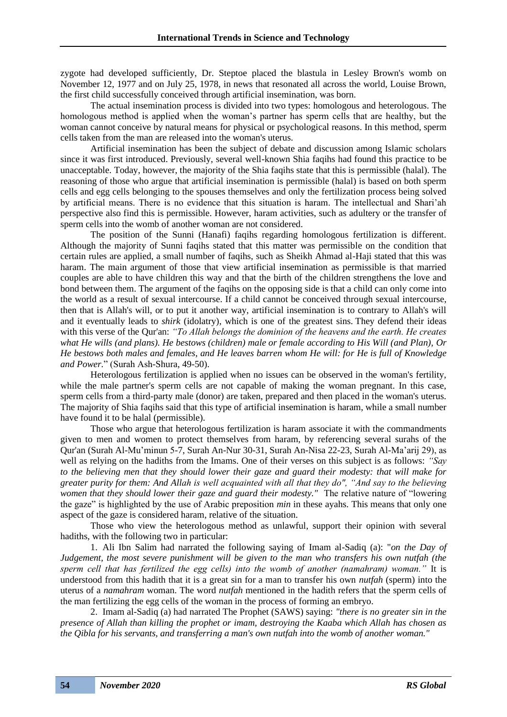zygote had developed sufficiently, Dr. Steptoe placed the blastula in Lesley Brown's womb on November 12, 1977 and on July 25, 1978, in news that resonated all across the world, Louise Brown, the first child successfully conceived through artificial insemination, was born.

The actual insemination process is divided into two types: homologous and heterologous. The homologous method is applied when the woman's partner has sperm cells that are healthy, but the woman cannot conceive by natural means for physical or psychological reasons. In this method, sperm cells taken from the man are released into the woman's uterus.

Artificial insemination has been the subject of debate and discussion among Islamic scholars since it was first introduced. Previously, several well-known Shia faqihs had found this practice to be unacceptable. Today, however, the majority of the Shia faqihs state that this is permissible (halal). The reasoning of those who argue that artificial insemination is permissible (halal) is based on both sperm cells and egg cells belonging to the spouses themselves and only the fertilization process being solved by artificial means. There is no evidence that this situation is haram. The intellectual and Shari'ah perspective also find this is permissible. However, haram activities, such as adultery or the transfer of sperm cells into the womb of another woman are not considered.

The position of the Sunni (Hanafi) faqihs regarding homologous fertilization is different. Although the majority of Sunni faqihs stated that this matter was permissible on the condition that certain rules are applied, a small number of faqihs, such as Sheikh Ahmad al-Haji stated that this was haram. The main argument of those that view artificial insemination as permissible is that married couples are able to have children this way and that the birth of the children strengthens the love and bond between them. The argument of the faqihs on the opposing side is that a child can only come into the world as a result of sexual intercourse. If a child cannot be conceived through sexual intercourse, then that is Allah's will, or to put it another way, artificial insemination is to contrary to Allah's will and it eventually leads to *shirk* (idolatry), which is one of the greatest sins. They defend their ideas with this verse of the Qur'an: *"To Allah belongs the dominion of the heavens and the earth. He creates what He wills (and plans). He bestows (children) male or female according to His Will (and Plan), Or He bestows both males and females, and He leaves barren whom He will: for He is full of Knowledge and Power.*" (Surah Ash-Shura, 49-50).

Heterologous fertilization is applied when no issues can be observed in the woman's fertility, while the male partner's sperm cells are not capable of making the woman pregnant. In this case, sperm cells from a third-party male (donor) are taken, prepared and then placed in the woman's uterus. The majority of Shia faqihs said that this type of artificial insemination is haram, while a small number have found it to be halal (permissible).

Those who argue that heterologous fertilization is haram associate it with the commandments given to men and women to protect themselves from haram, by referencing several surahs of the Qur'an (Surah Al-Mu'minun 5-7, Surah An-Nur 30-31, Surah An-Nisa 22-23, Surah Al-Ma'arij 29), as well as relying on the hadiths from the Imams. One of their verses on this subject is as follows: *"Say to the believing men that they should lower their gaze and guard their modesty: that will make for greater purity for them: And Allah is well acquainted with all that they do", "And say to the believing women that they should lower their gaze and guard their modesty."* The relative nature of "lowering the gaze" is highlighted by the use of Arabic preposition *min* in these ayahs. This means that only one aspect of the gaze is considered haram, relative of the situation.

Those who view the heterologous method as unlawful, support their opinion with several hadiths, with the following two in particular:

1. Ali Ibn Salim had narrated the following saying of Imam al-Sadiq (a): "*on the Day of Judgement, the most severe punishment will be given to the man who transfers his own nutfah (the sperm cell that has fertilized the egg cells) into the womb of another (namahram) woman."* It is understood from this hadith that it is a great sin for a man to transfer his own *nutfah* (sperm) into the uterus of a *namahram* woman. The word *nutfah* mentioned in the hadith refers that the sperm cells of the man fertilizing the egg cells of the woman in the process of forming an embryo.

2. Imam al-Sadiq (a) had narrated The Prophet (SAWS) saying: *"there is no greater sin in the presence of Allah than killing the prophet or imam, destroying the Kaaba which Allah has chosen as the Qibla for his servants, and transferring a man's own nutfah into the womb of another woman."*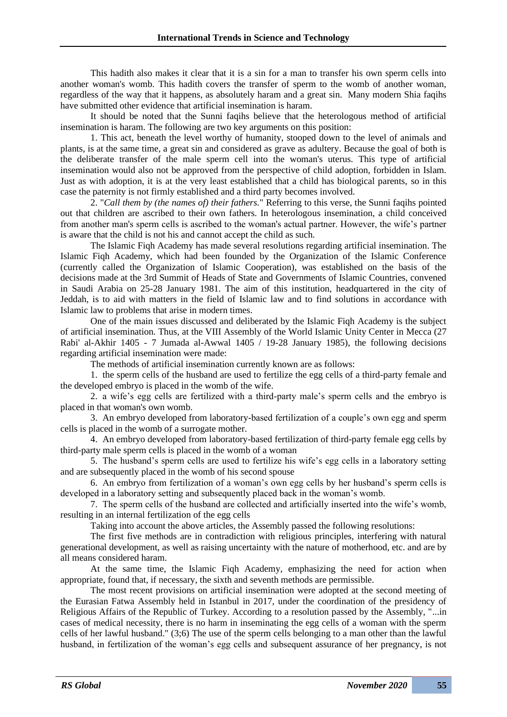This hadith also makes it clear that it is a sin for a man to transfer his own sperm cells into another woman's womb. This hadith covers the transfer of sperm to the womb of another woman, regardless of the way that it happens, as absolutely haram and a great sin. Many modern Shia faqihs have submitted other evidence that artificial insemination is haram.

It should be noted that the Sunni faqihs believe that the heterologous method of artificial insemination is haram. The following are two key arguments on this position:

1. This act, beneath the level worthy of humanity, stooped down to the level of animals and plants, is at the same time, a great sin and considered as grave as adultery. Because the goal of both is the deliberate transfer of the male sperm cell into the woman's uterus. This type of artificial insemination would also not be approved from the perspective of child adoption, forbidden in Islam. Just as with adoption, it is at the very least established that a child has biological parents, so in this case the paternity is not firmly established and a third party becomes involved.

2. "*Call them by (the names of) their fathers.*" Referring to this verse, the Sunni faqihs pointed out that children are ascribed to their own fathers. In heterologous insemination, a child conceived from another man's sperm cells is ascribed to the woman's actual partner. However, the wife's partner is aware that the child is not his and cannot accept the child as such.

The Islamic Fiqh Academy has made several resolutions regarding artificial insemination. The Islamic Fiqh Academy, which had been founded by the Organization of the Islamic Conference (currently called the Organization of Islamic Cooperation), was established on the basis of the decisions made at the 3rd Summit of Heads of State and Governments of Islamic Countries, convened in Saudi Arabia on 25-28 January 1981. The aim of this institution, headquartered in the city of Jeddah, is to aid with matters in the field of Islamic law and to find solutions in accordance with Islamic law to problems that arise in modern times.

One of the main issues discussed and deliberated by the Islamic Fiqh Academy is the subject of artificial insemination. Thus, at the VIII Assembly of the World Islamic Unity Center in Mecca (27 Rabi' al-Akhir 1405 - 7 Jumada al-Awwal 1405 / 19-28 January 1985), the following decisions regarding artificial insemination were made:

The methods of artificial insemination currently known are as follows:

1. the sperm cells of the husband are used to fertilize the egg cells of a third-party female and the developed embryo is placed in the womb of the wife.

2. a wife's egg cells are fertilized with a third-party male's sperm cells and the embryo is placed in that woman's own womb.

3. An embryo developed from laboratory-based fertilization of a couple's own egg and sperm cells is placed in the womb of a surrogate mother.

4. An embryo developed from laboratory-based fertilization of third-party female egg cells by third-party male sperm cells is placed in the womb of a woman

5. The husband's sperm cells are used to fertilize his wife's egg cells in a laboratory setting and are subsequently placed in the womb of his second spouse

6. An embryo from fertilization of a woman's own egg cells by her husband's sperm cells is developed in a laboratory setting and subsequently placed back in the woman's womb.

7. The sperm cells of the husband are collected and artificially inserted into the wife's womb, resulting in an internal fertilization of the egg cells

Taking into account the above articles, the Assembly passed the following resolutions:

The first five methods are in contradiction with religious principles, interfering with natural generational development, as well as raising uncertainty with the nature of motherhood, etc. and are by all means considered haram.

At the same time, the Islamic Fiqh Academy, emphasizing the need for action when appropriate, found that, if necessary, the sixth and seventh methods are permissible.

The most recent provisions on artificial insemination were adopted at the second meeting of the Eurasian Fatwa Assembly held in Istanbul in 2017, under the coordination of the presidency of Religious Affairs of the Republic of Turkey. According to a resolution passed by the Assembly, "...in cases of medical necessity, there is no harm in inseminating the egg cells of a woman with the sperm cells of her lawful husband." (3;6) The use of the sperm cells belonging to a man other than the lawful husband, in fertilization of the woman's egg cells and subsequent assurance of her pregnancy, is not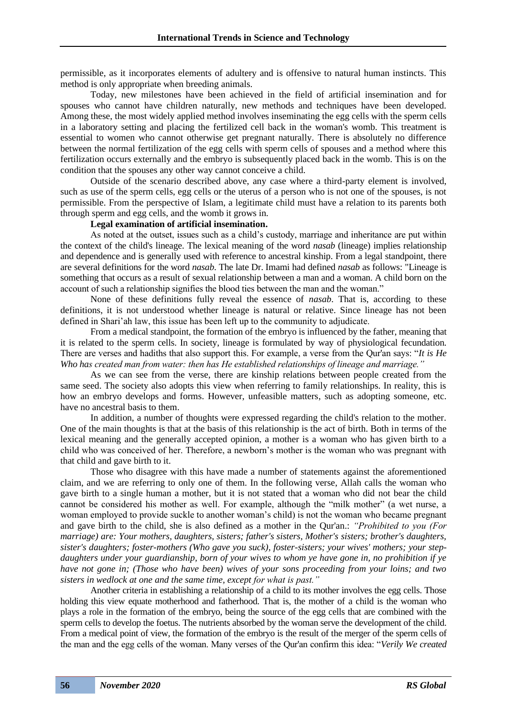permissible, as it incorporates elements of adultery and is offensive to natural human instincts. This method is only appropriate when breeding animals.

Today, new milestones have been achieved in the field of artificial insemination and for spouses who cannot have children naturally, new methods and techniques have been developed. Among these, the most widely applied method involves inseminating the egg cells with the sperm cells in a laboratory setting and placing the fertilized cell back in the woman's womb. This treatment is essential to women who cannot otherwise get pregnant naturally. There is absolutely no difference between the normal fertilization of the egg cells with sperm cells of spouses and a method where this fertilization occurs externally and the embryo is subsequently placed back in the womb. This is on the condition that the spouses any other way cannot conceive a child.

Outside of the scenario described above, any case where a third-party element is involved, such as use of the sperm cells, egg cells or the uterus of a person who is not one of the spouses, is not permissible. From the perspective of Islam, a legitimate child must have a relation to its parents both through sperm and egg cells, and the womb it grows in.

#### **Legal examination of artificial insemination.**

As noted at the outset, issues such as a child's custody, marriage and inheritance are put within the context of the child's lineage. The lexical meaning of the word *nasab* (lineage) implies relationship and dependence and is generally used with reference to ancestral kinship. From a legal standpoint, there are several definitions for the word *nasab*. The late Dr. Imami had defined *nasab* as follows: "Lineage is something that occurs as a result of sexual relationship between a man and a woman. A child born on the account of such a relationship signifies the blood ties between the man and the woman."

None of these definitions fully reveal the essence of *nasab*. That is, according to these definitions, it is not understood whether lineage is natural or relative. Since lineage has not been defined in Shari'ah law, this issue has been left up to the community to adjudicate.

From a medical standpoint, the formation of the embryo is influenced by the father, meaning that it is related to the sperm cells. In society, lineage is formulated by way of physiological fecundation. There are verses and hadiths that also support this. For example, a verse from the Qur'an says: "*It is He Who has created man from water: then has He established relationships of lineage and marriage."*

As we can see from the verse, there are kinship relations between people created from the same seed. The society also adopts this view when referring to family relationships. In reality, this is how an embryo develops and forms. However, unfeasible matters, such as adopting someone, etc. have no ancestral basis to them.

In addition, a number of thoughts were expressed regarding the child's relation to the mother. One of the main thoughts is that at the basis of this relationship is the act of birth. Both in terms of the lexical meaning and the generally accepted opinion, a mother is a woman who has given birth to a child who was conceived of her. Therefore, a newborn's mother is the woman who was pregnant with that child and gave birth to it.

Those who disagree with this have made a number of statements against the aforementioned claim, and we are referring to only one of them. In the following verse, Allah calls the woman who gave birth to a single human a mother, but it is not stated that a woman who did not bear the child cannot be considered his mother as well. For example, although the "milk mother" (a wet nurse, a woman employed to provide suckle to another woman's child) is not the woman who became pregnant and gave birth to the child, she is also defined as a mother in the Qur'an.: *"Prohibited to you (For marriage) are: Your mothers, daughters, sisters; father's sisters, Mother's sisters; brother's daughters, sister's daughters; foster-mothers (Who gave you suck), foster-sisters; your wives' mothers; your stepdaughters under your guardianship, born of your wives to whom ye have gone in, no prohibition if ye have not gone in; (Those who have been) wives of your sons proceeding from your loins; and two sisters in wedlock at one and the same time, except for what is past."*

Another criteria in establishing a relationship of a child to its mother involves the egg cells. Those holding this view equate motherhood and fatherhood. That is, the mother of a child is the woman who plays a role in the formation of the embryo, being the source of the egg cells that are combined with the sperm cells to develop the foetus. The nutrients absorbed by the woman serve the development of the child. From a medical point of view, the formation of the embryo is the result of the merger of the sperm cells of the man and the egg cells of the woman. Many verses of the Qur'an confirm this idea: "*Verily We created*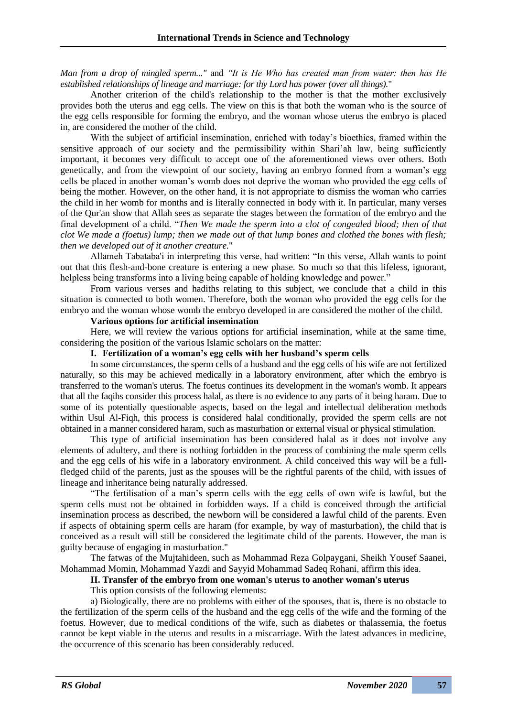*Man from a drop of mingled sperm..."* and *"It is He Who has created man from water: then has He established relationships of lineage and marriage: for thy Lord has power (over all things).*"

Another criterion of the child's relationship to the mother is that the mother exclusively provides both the uterus and egg cells. The view on this is that both the woman who is the source of the egg cells responsible for forming the embryo, and the woman whose uterus the embryo is placed in, are considered the mother of the child.

With the subject of artificial insemination, enriched with today's bioethics, framed within the sensitive approach of our society and the permissibility within Shari'ah law, being sufficiently important, it becomes very difficult to accept one of the aforementioned views over others. Both genetically, and from the viewpoint of our society, having an embryo formed from a woman's egg cells be placed in another woman's womb does not deprive the woman who provided the egg cells of being the mother. However, on the other hand, it is not appropriate to dismiss the woman who carries the child in her womb for months and is literally connected in body with it. In particular, many verses of the Qur'an show that Allah sees as separate the stages between the formation of the embryo and the final development of a child. "*Then We made the sperm into a clot of congealed blood; then of that clot We made a (foetus) lump; then we made out of that lump bones and clothed the bones with flesh; then we developed out of it another creature.*"

Allameh Tabataba'i in interpreting this verse, had written: "In this verse, Allah wants to point out that this flesh-and-bone creature is entering a new phase. So much so that this lifeless, ignorant, helpless being transforms into a living being capable of holding knowledge and power."

From various verses and hadiths relating to this subject, we conclude that a child in this situation is connected to both women. Therefore, both the woman who provided the egg cells for the embryo and the woman whose womb the embryo developed in are considered the mother of the child.

# **Various options for artificial insemination**

Here, we will review the various options for artificial insemination, while at the same time, considering the position of the various Islamic scholars on the matter:

# **I. Fertilization of a woman's egg cells with her husband's sperm cells**

In some circumstances, the sperm cells of a husband and the egg cells of his wife are not fertilized naturally, so this may be achieved medically in a laboratory environment, after which the embryo is transferred to the woman's uterus. The foetus continues its development in the woman's womb. It appears that all the faqihs consider this process halal, as there is no evidence to any parts of it being haram. Due to some of its potentially questionable aspects, based on the legal and intellectual deliberation methods within Usul Al-Fiqh, this process is considered halal conditionally, provided the sperm cells are not obtained in a manner considered haram, such as masturbation or external visual or physical stimulation.

This type of artificial insemination has been considered halal as it does not involve any elements of adultery, and there is nothing forbidden in the process of combining the male sperm cells and the egg cells of his wife in a laboratory environment. A child conceived this way will be a fullfledged child of the parents, just as the spouses will be the rightful parents of the child, with issues of lineage and inheritance being naturally addressed.

"The fertilisation of a man's sperm cells with the egg cells of own wife is lawful, but the sperm cells must not be obtained in forbidden ways. If a child is conceived through the artificial insemination process as described, the newborn will be considered a lawful child of the parents. Even if aspects of obtaining sperm cells are haram (for example, by way of masturbation), the child that is conceived as a result will still be considered the legitimate child of the parents. However, the man is guilty because of engaging in masturbation."

The fatwas of the Mujtahideen, such as Mohammad Reza Golpaygani, Sheikh Yousef Saanei, Mohammad Momin, Mohammad Yazdi and Sayyid Mohammad Sadeq Rohani, affirm this idea.

## **II. Transfer of the embryo from one woman's uterus to another woman's uterus**

#### This option consists of the following elements:

a) Biologically, there are no problems with either of the spouses, that is, there is no obstacle to the fertilization of the sperm cells of the husband and the egg cells of the wife and the forming of the foetus. However, due to medical conditions of the wife, such as diabetes or thalassemia, the foetus cannot be kept viable in the uterus and results in a miscarriage. With the latest advances in medicine, the occurrence of this scenario has been considerably reduced.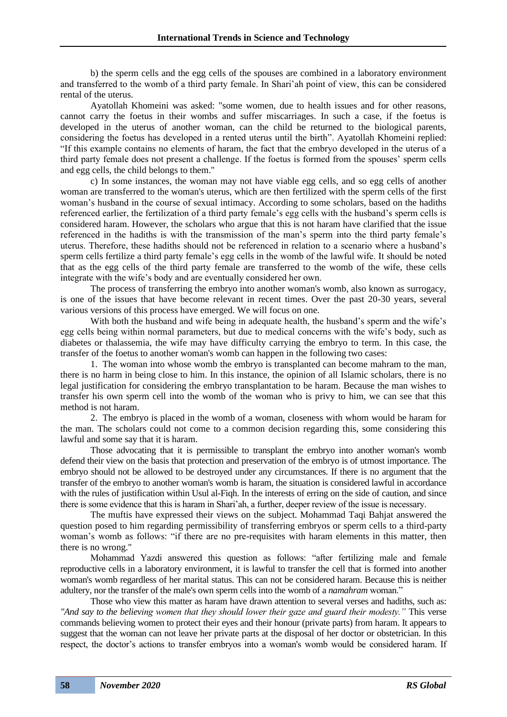b) the sperm cells and the egg cells of the spouses are combined in a laboratory environment and transferred to the womb of a third party female. In Shari'ah point of view, this can be considered rental of the uterus.

Ayatollah Khomeini was asked: "some women, due to health issues and for other reasons, cannot carry the foetus in their wombs and suffer miscarriages. In such a case, if the foetus is developed in the uterus of another woman, can the child be returned to the biological parents, considering the foetus has developed in a rented uterus until the birth". Ayatollah Khomeini replied: "If this example contains no elements of haram, the fact that the embryo developed in the uterus of a third party female does not present a challenge. If the foetus is formed from the spouses' sperm cells and egg cells, the child belongs to them."

c) In some instances, the woman may not have viable egg cells, and so egg cells of another woman are transferred to the woman's uterus, which are then fertilized with the sperm cells of the first woman's husband in the course of sexual intimacy. According to some scholars, based on the hadiths referenced earlier, the fertilization of a third party female's egg cells with the husband's sperm cells is considered haram. However, the scholars who argue that this is not haram have clarified that the issue referenced in the hadiths is with the transmission of the man's sperm into the third party female's uterus. Therefore, these hadiths should not be referenced in relation to a scenario where a husband's sperm cells fertilize a third party female's egg cells in the womb of the lawful wife. It should be noted that as the egg cells of the third party female are transferred to the womb of the wife, these cells integrate with the wife's body and are eventually considered her own.

The process of transferring the embryo into another woman's womb, also known as surrogacy, is one of the issues that have become relevant in recent times. Over the past 20-30 years, several various versions of this process have emerged. We will focus on one.

With both the husband and wife being in adequate health, the husband's sperm and the wife's egg cells being within normal parameters, but due to medical concerns with the wife's body, such as diabetes or thalassemia, the wife may have difficulty carrying the embryo to term. In this case, the transfer of the foetus to another woman's womb can happen in the following two cases:

1. The woman into whose womb the embryo is transplanted can become mahram to the man, there is no harm in being close to him. In this instance, the opinion of all Islamic scholars, there is no legal justification for considering the embryo transplantation to be haram. Because the man wishes to transfer his own sperm cell into the womb of the woman who is privy to him, we can see that this method is not haram.

2. The embryo is placed in the womb of a woman, closeness with whom would be haram for the man. The scholars could not come to a common decision regarding this, some considering this lawful and some say that it is haram.

Those advocating that it is permissible to transplant the embryo into another woman's womb defend their view on the basis that protection and preservation of the embryo is of utmost importance. The embryo should not be allowed to be destroyed under any circumstances. If there is no argument that the transfer of the embryo to another woman's womb is haram, the situation is considered lawful in accordance with the rules of justification within Usul al-Figh. In the interests of erring on the side of caution, and since there is some evidence that this is haram in Shari'ah, a further, deeper review of the issue is necessary.

The muftis have expressed their views on the subject. Mohammad Taqi Bahjat answered the question posed to him regarding permissibility of transferring embryos or sperm cells to a third-party woman's womb as follows: "if there are no pre-requisites with haram elements in this matter, then there is no wrong."

Mohammad Yazdi answered this question as follows: "after fertilizing male and female reproductive cells in a laboratory environment, it is lawful to transfer the cell that is formed into another woman's womb regardless of her marital status. This can not be considered haram. Because this is neither adultery, nor the transfer of the male's own sperm cells into the womb of a *namahram* woman."

Those who view this matter as haram have drawn attention to several verses and hadiths, such as: *"And say to the believing women that they should lower their gaze and guard their modesty."* This verse commands believing women to protect their eyes and their honour (private parts) from haram. It appears to suggest that the woman can not leave her private parts at the disposal of her doctor or obstetrician. In this respect, the doctor's actions to transfer embryos into a woman's womb would be considered haram. If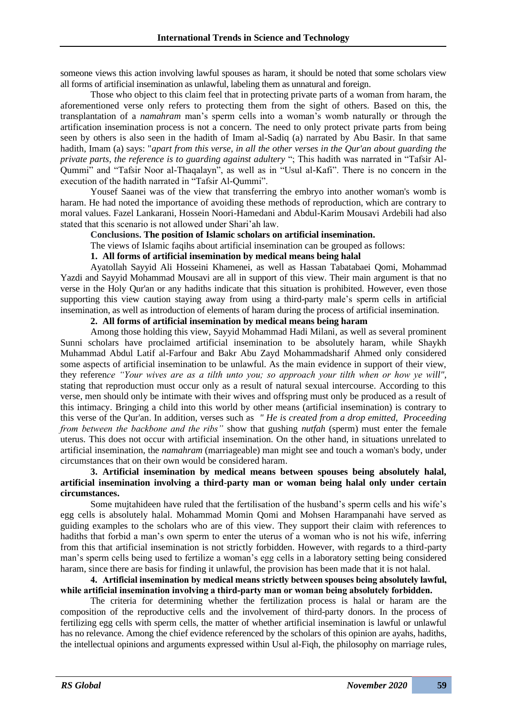someone views this action involving lawful spouses as haram, it should be noted that some scholars view all forms of artificial insemination as unlawful, labeling them as unnatural and foreign.

Those who object to this claim feel that in protecting private parts of a woman from haram, the aforementioned verse only refers to protecting them from the sight of others. Based on this, the transplantation of a *namahram* man's sperm cells into a woman's womb naturally or through the artification insemination process is not a concern. The need to only protect private parts from being seen by others is also seen in the hadith of Imam al-Sadiq (a) narrated by Abu Basir. In that same hadith, Imam (a) says: "*apart from this verse, in all the other verses in the Qur'an about guarding the private parts, the reference is to guarding against adultery* "; This hadith was narrated in "Tafsir Al-Qummi" and "Tafsir Noor al-Thaqalayn", as well as in "Usul al-Kafi". There is no concern in the execution of the hadith narrated in "Tafsir Al-Qummi".

Yousef Saanei was of the view that transferring the embryo into another woman's womb is haram. He had noted the importance of avoiding these methods of reproduction, which are contrary to moral values. Fazel Lankarani, Hossein Noori-Hamedani and Abdul-Karim Mousavi Ardebili had also stated that this scenario is not allowed under Shari'ah law.

**Conclusions. The position of Islamic scholars on artificial insemination.**

The views of Islamic faqihs about artificial insemination can be grouped as follows:

# **1. All forms of artificial insemination by medical means being halal**

Ayatollah Sayyid Ali Hosseini Khamenei, as well as Hassan Tabatabaei Qomi, Mohammad Yazdi and Sayyid Mohammad Mousavi are all in support of this view. Their main argument is that no verse in the Holy Qur'an or any hadiths indicate that this situation is prohibited. However, even those supporting this view caution staying away from using a third-party male's sperm cells in artificial insemination, as well as introduction of elements of haram during the process of artificial insemination.

# **2. All forms of artificial insemination by medical means being haram**

Among those holding this view, Sayyid Mohammad Hadi Milani, as well as several prominent Sunni scholars have proclaimed artificial insemination to be absolutely haram, while Shaykh Muhammad Abdul Latif al-Farfour and Bakr Abu Zayd Mohammadsharif Ahmed only considered some aspects of artificial insemination to be unlawful. As the main evidence in support of their view, they referen*ce "Your wives are as a tilth unto you; so approach your tilth when or how ye will"*, stating that reproduction must occur only as a result of natural sexual intercourse. According to this verse, men should only be intimate with their wives and offspring must only be produced as a result of this intimacy. Bringing a child into this world by other means (artificial insemination) is contrary to this verse of the Qur'an. In addition, verses such as *" He is created from a drop emitted, Proceeding from between the backbone and the ribs"* show that gushing *nutfah* (sperm) must enter the female uterus. This does not occur with artificial insemination. On the other hand, in situations unrelated to artificial insemination, the *namahram* (marriageable) man might see and touch a woman's body, under circumstances that on their own would be considered haram.

# **3. Artificial insemination by medical means between spouses being absolutely halal, artificial insemination involving a third-party man or woman being halal only under certain circumstances.**

Some mujtahideen have ruled that the fertilisation of the husband's sperm cells and his wife's egg cells is absolutely halal. Mohammad Momin Qomi and Mohsen Harampanahi have served as guiding examples to the scholars who are of this view. They support their claim with references to hadiths that forbid a man's own sperm to enter the uterus of a woman who is not his wife, inferring from this that artificial insemination is not strictly forbidden. However, with regards to a third-party man's sperm cells being used to fertilize a woman's egg cells in a laboratory setting being considered haram, since there are basis for finding it unlawful, the provision has been made that it is not halal.

#### **4. Artificial insemination by medical means strictly between spouses being absolutely lawful, while artificial insemination involving a third-party man or woman being absolutely forbidden.**

The criteria for determining whether the fertilization process is halal or haram are the composition of the reproductive cells and the involvement of third-party donors. In the process of fertilizing egg cells with sperm cells, the matter of whether artificial insemination is lawful or unlawful has no relevance. Among the chief evidence referenced by the scholars of this opinion are ayahs, hadiths, the intellectual opinions and arguments expressed within Usul al-Fiqh, the philosophy on marriage rules,